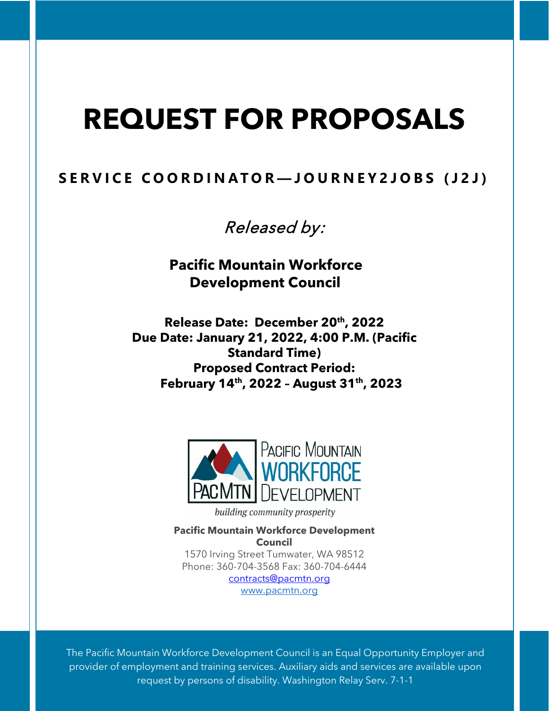# **REQUEST FOR PROPOSALS**

# **SERVICE COORDINATOR — JOURNEY2JOBS (J2J)**

Released by:

**Pacific Mountain Workforce Development Council**

**Release Date: December 20th, 2022 Due Date: January 21, 2022, 4:00 P.M. (Pacific Standard Time) Proposed Contract Period: February 14th, 2022 – August 31th, 2023**



building community prosperity

**Pacific Mountain Workforce Development Council** 1570 Irving Street Tumwater, WA 98512 Phone: 360-704-3568 Fax: 360-704-6444 [contracts@pacmtn.org](mailto:contracts@pacmtn.org)

[www.pacmtn.org](http://www.pacmtn.org/)

The Pacific Mountain Workforce Development Council is an Equal Opportunity Employer and provider of employment and training services. Auxiliary aids and services are available upon request by persons of disability. Washington Relay Serv. 7-1-1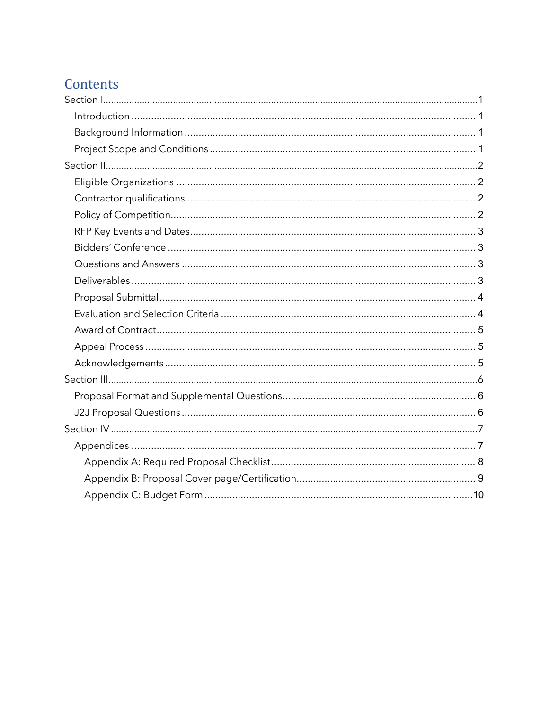# Contents

<span id="page-1-0"></span>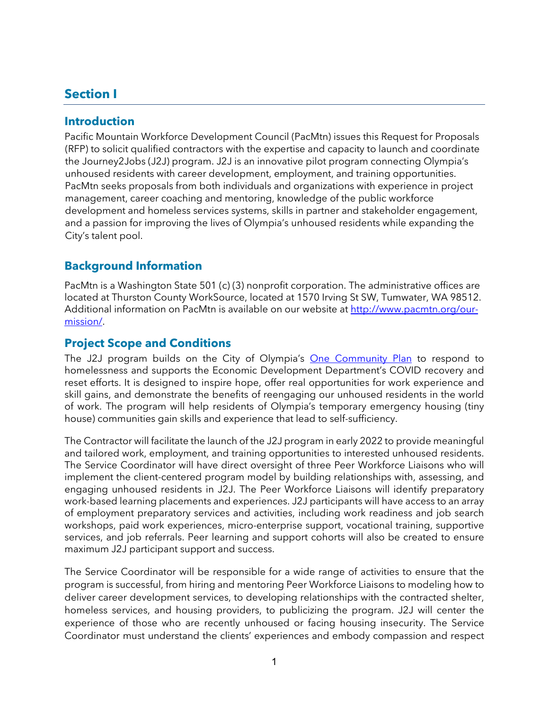## **Section I**

#### <span id="page-2-0"></span>**Introduction**

Pacific Mountain Workforce Development Council (PacMtn) issues this Request for Proposals (RFP) to solicit qualified contractors with the expertise and capacity to launch and coordinate the Journey2Jobs (J2J) program. J2J is an innovative pilot program connecting Olympia's unhoused residents with career development, employment, and training opportunities. PacMtn seeks proposals from both individuals and organizations with experience in project management, career coaching and mentoring, knowledge of the public workforce development and homeless services systems, skills in partner and stakeholder engagement, and a passion for improving the lives of Olympia's unhoused residents while expanding the City's talent pool.

#### <span id="page-2-1"></span>**Background Information**

PacMtn is a Washington State 501 (c) (3) nonprofit corporation. The administrative offices are located at Thurston County WorkSource, located at 1570 Irving St SW, Tumwater, WA 98512. Additional information on PacMtn is available on our website at [http://www.pacmtn.org/our](http://www.pacmtn.org/our-mission/)[mission/.](http://www.pacmtn.org/our-mission/)

#### <span id="page-2-2"></span>**Project Scope and Conditions**

The J2J program builds on the City of Olympia's [One Community Plan](https://www.olympiawa.gov/community/housing___homelessness/index.php#:%7E:text=Olympia) to respond to homelessness and supports the Economic Development Department's COVID recovery and reset efforts. It is designed to inspire hope, offer real opportunities for work experience and skill gains, and demonstrate the benefits of reengaging our unhoused residents in the world of work. The program will help residents of Olympia's temporary emergency housing (tiny house) communities gain skills and experience that lead to self-sufficiency.

The Contractor will facilitate the launch of the J2J program in early 2022 to provide meaningful and tailored work, employment, and training opportunities to interested unhoused residents. The Service Coordinator will have direct oversight of three Peer Workforce Liaisons who will implement the client-centered program model by building relationships with, assessing, and engaging unhoused residents in J2J. The Peer Workforce Liaisons will identify preparatory work-based learning placements and experiences. J2J participants will have access to an array of employment preparatory services and activities, including work readiness and job search workshops, paid work experiences, micro-enterprise support, vocational training, supportive services, and job referrals. Peer learning and support cohorts will also be created to ensure maximum J2J participant support and success.

The Service Coordinator will be responsible for a wide range of activities to ensure that the program is successful, from hiring and mentoring Peer Workforce Liaisons to modeling how to deliver career development services, to developing relationships with the contracted shelter, homeless services, and housing providers, to publicizing the program. J2J will center the experience of those who are recently unhoused or facing housing insecurity. The Service Coordinator must understand the clients' experiences and embody compassion and respect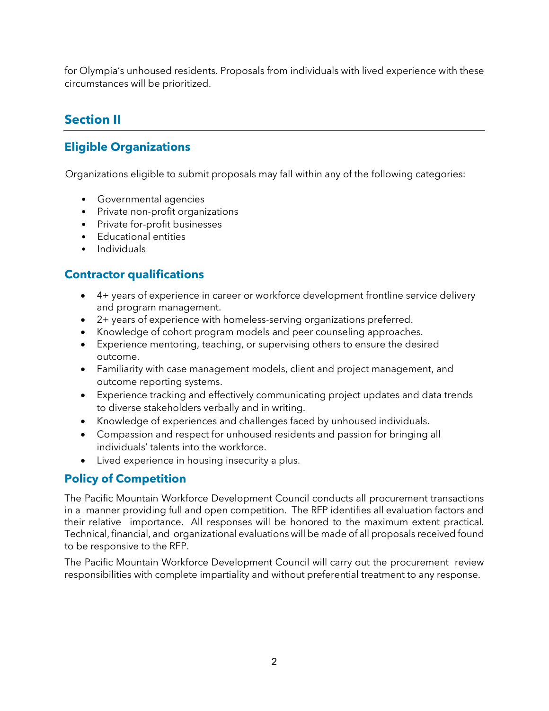for Olympia's unhoused residents. Proposals from individuals with lived experience with these circumstances will be prioritized.

# <span id="page-3-0"></span>**Section II**

# <span id="page-3-1"></span>**Eligible Organizations**

Organizations eligible to submit proposals may fall within any of the following categories:

- Governmental agencies
- Private non-profit organizations
- Private for-profit businesses
- Educational entities
- Individuals

# <span id="page-3-2"></span>**Contractor qualifications**

- 4+ years of experience in career or workforce development frontline service delivery and program management.
- 2+ years of experience with homeless-serving organizations preferred.
- Knowledge of cohort program models and peer counseling approaches.
- Experience mentoring, teaching, or supervising others to ensure the desired outcome.
- Familiarity with case management models, client and project management, and outcome reporting systems.
- Experience tracking and effectively communicating project updates and data trends to diverse stakeholders verbally and in writing.
- Knowledge of experiences and challenges faced by unhoused individuals.
- Compassion and respect for unhoused residents and passion for bringing all individuals' talents into the workforce.
- Lived experience in housing insecurity a plus.

#### <span id="page-3-3"></span>**Policy of Competition**

The Pacific Mountain Workforce Development Council conducts all procurement transactions in a manner providing full and open competition. The RFP identifies all evaluation factors and their relative importance. All responses will be honored to the maximum extent practical. Technical, financial, and organizational evaluations will be made of all proposals received found to be responsive to the RFP.

The Pacific Mountain Workforce Development Council will carry out the procurement review responsibilities with complete impartiality and without preferential treatment to any response.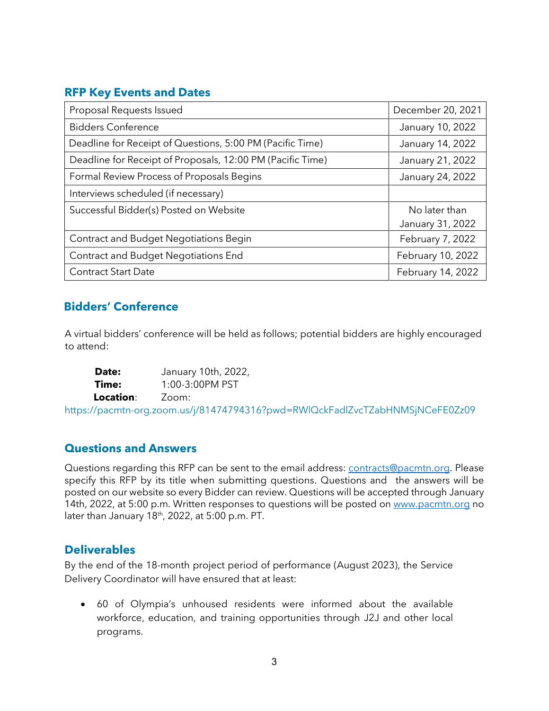#### <span id="page-4-0"></span>**RFP Key Events and Dates**

| Proposal Requests Issued                                   | December 20, 2021 |  |
|------------------------------------------------------------|-------------------|--|
| <b>Bidders Conference</b>                                  | January 10, 2022  |  |
| Deadline for Receipt of Questions, 5:00 PM (Pacific Time)  | January 14, 2022  |  |
| Deadline for Receipt of Proposals, 12:00 PM (Pacific Time) | January 21, 2022  |  |
| Formal Review Process of Proposals Begins                  | January 24, 2022  |  |
| Interviews scheduled (if necessary)                        |                   |  |
| Successful Bidder(s) Posted on Website                     | No later than     |  |
|                                                            | January 31, 2022  |  |
| Contract and Budget Negotiations Begin                     | February 7, 2022  |  |
| <b>Contract and Budget Negotiations End</b>                | February 10, 2022 |  |
| <b>Contract Start Date</b>                                 | February 14, 2022 |  |

#### <span id="page-4-1"></span>**Bidders' Conference**

A virtual bidders' conference will be held as follows; potential bidders are highly encouraged to attend:

**Date:** January 10th, 2022, **Time:** 1:00-3:00PM PST **Location**: Zoom:

<span id="page-4-2"></span>https://pacmtn-org.zoom.us/j/81474794316?pwd=RWlQckFadlZvcTZabHNMSjNCeFE0Zz09

#### **Questions and Answers**

Questions regarding this RFP can be sent to the email address: [contracts@pacmtn.org.](mailto:contracts@pacmtn.org) Please specify this RFP by its title when submitting questions. Questions and the answers will be posted on our website so every Bidder can review. Questions will be accepted through January 14th, 2022, at 5:00 p.m. Written responses to questions will be posted on [www.pacmtn.org](http://www.pacmtn.org/) no later than January  $18<sup>th</sup>$ , 2022, at 5:00 p.m. PT.

#### <span id="page-4-3"></span>**Deliverables**

By the end of the 18-month project period of performance (August 2023), the Service Delivery Coordinator will have ensured that at least:

• 60 of Olympia's unhoused residents were informed about the available workforce, education, and training opportunities through J2J and other local programs.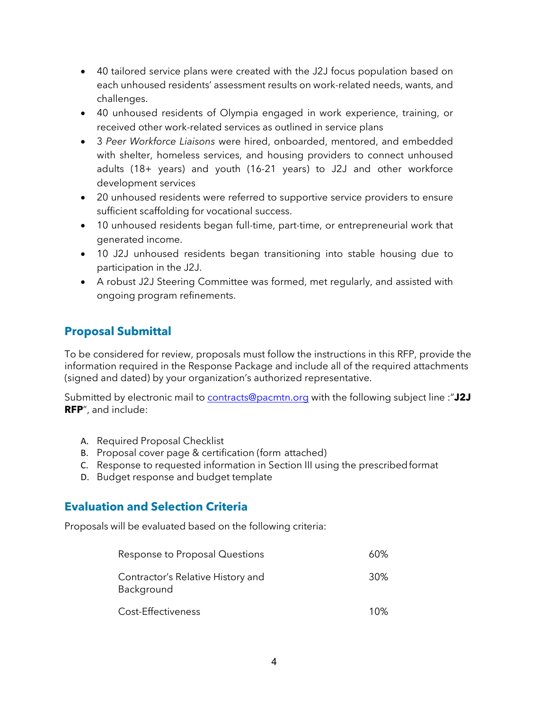- 40 tailored service plans were created with the J2J focus population based on each unhoused residents' assessment results on work-related needs, wants, and challenges.
- 40 unhoused residents of Olympia engaged in work experience, training, or received other work-related services as outlined in service plans
- 3 *Peer Workforce Liaisons* were hired, onboarded, mentored, and embedded with shelter, homeless services, and housing providers to connect unhoused adults (18+ years) and youth (16-21 years) to J2J and other workforce development services
- 20 unhoused residents were referred to supportive service providers to ensure sufficient scaffolding for vocational success.
- 10 unhoused residents began full-time, part-time, or entrepreneurial work that generated income.
- 10 J2J unhoused residents began transitioning into stable housing due to participation in the J2J.
- A robust J2J Steering Committee was formed, met regularly, and assisted with ongoing program refinements.

# <span id="page-5-0"></span>**Proposal Submittal**

To be considered for review, proposals must follow the instructions in this RFP, provide the information required in the Response Package and include all of the required attachments (signed and dated) by your organization's authorized representative.

Submitted by electronic mail to [contracts@pacmtn.org](mailto:contracts@pacmtn.org) with the following subject line :"**J2J RFP**", and include:

- A. Required Proposal Checklist
- B. Proposal cover page & certification (form attached)
- C. Response to requested information in Section III using the prescribedformat
- D. Budget response and budget template

#### <span id="page-5-1"></span>**Evaluation and Selection Criteria**

Proposals will be evaluated based on the following criteria:

| Response to Proposal Questions                  | 60% |
|-------------------------------------------------|-----|
| Contractor's Relative History and<br>Background | 30% |
| Cost-Effectiveness                              | 1በ% |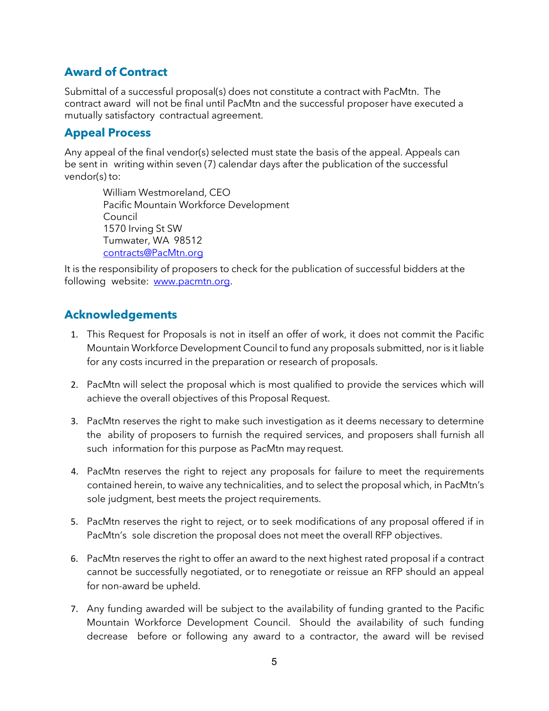## <span id="page-6-0"></span>**Award of Contract**

Submittal of a successful proposal(s) does not constitute a contract with PacMtn. The contract award will not be final until PacMtn and the successful proposer have executed a mutually satisfactory contractual agreement.

## <span id="page-6-1"></span>**Appeal Process**

Any appeal of the final vendor(s) selected must state the basis of the appeal. Appeals can be sent in writing within seven (7) calendar days after the publication of the successful vendor(s) to:

William Westmoreland, CEO Pacific Mountain Workforce Development Council 1570 Irving St SW Tumwater, WA 98512 [contracts@PacMtn.org](mailto:contracts@PacMtn.org)

It is the responsibility of proposers to check for the publication of successful bidders at the following website: [www.pacmtn.org.](http://www.pacmtn.org/)

#### <span id="page-6-2"></span>**Acknowledgements**

- 1. This Request for Proposals is not in itself an offer of work, it does not commit the Pacific Mountain Workforce Development Council to fund any proposals submitted, nor is it liable for any costs incurred in the preparation or research of proposals.
- 2. PacMtn will select the proposal which is most qualified to provide the services which will achieve the overall objectives of this Proposal Request.
- 3. PacMtn reserves the right to make such investigation as it deems necessary to determine the ability of proposers to furnish the required services, and proposers shall furnish all such information for this purpose as PacMtn may request.
- 4. PacMtn reserves the right to reject any proposals for failure to meet the requirements contained herein, to waive any technicalities, and to select the proposal which, in PacMtn's sole judgment, best meets the project requirements.
- 5. PacMtn reserves the right to reject, or to seek modifications of any proposal offered if in PacMtn's sole discretion the proposal does not meet the overall RFP objectives.
- 6. PacMtn reserves the right to offer an award to the next highest rated proposal if a contract cannot be successfully negotiated, or to renegotiate or reissue an RFP should an appeal for non-award be upheld.
- 7. Any funding awarded will be subject to the availability of funding granted to the Pacific Mountain Workforce Development Council. Should the availability of such funding decrease before or following any award to a contractor, the award will be revised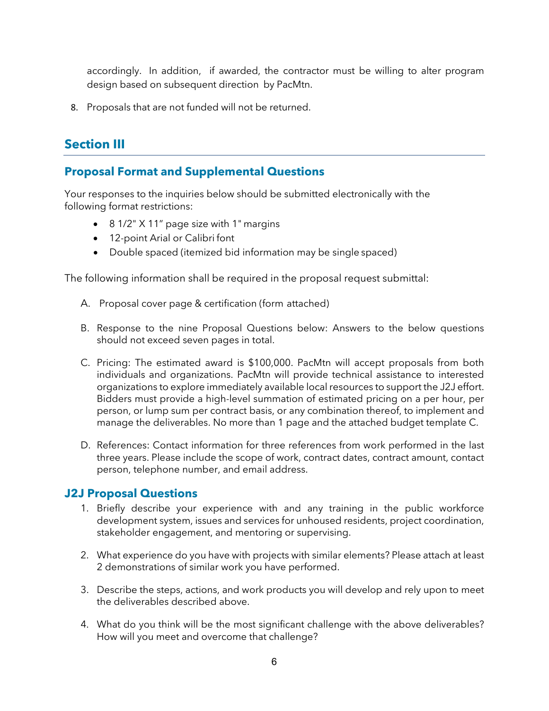accordingly. In addition, if awarded, the contractor must be willing to alter program design based on subsequent direction by PacMtn.

8. Proposals that are not funded will not be returned.

# <span id="page-7-0"></span>**Section III**

#### <span id="page-7-1"></span>**Proposal Format and Supplemental Questions**

Your responses to the inquiries below should be submitted electronically with the following format restrictions:

- 8 1/2" X 11" page size with 1" margins
- 12-point Arial or Calibri font
- Double spaced (itemized bid information may be single spaced)

The following information shall be required in the proposal request submittal:

- A. Proposal cover page & certification (form attached)
- B. Response to the nine Proposal Questions below: Answers to the below questions should not exceed seven pages in total.
- C. Pricing: The estimated award is \$100,000. PacMtn will accept proposals from both individuals and organizations. PacMtn will provide technical assistance to interested organizations to explore immediately available local resources to support the J2J effort. Bidders must provide a high-level summation of estimated pricing on a per hour, per person, or lump sum per contract basis, or any combination thereof, to implement and manage the deliverables. No more than 1 page and the attached budget template C.
- D. References: Contact information for three references from work performed in the last three years. Please include the scope of work, contract dates, contract amount, contact person, telephone number, and email address.

#### <span id="page-7-2"></span>**J2J Proposal Questions**

- 1. Briefly describe your experience with and any training in the public workforce development system, issues and services for unhoused residents, project coordination, stakeholder engagement, and mentoring or supervising.
- 2. What experience do you have with projects with similar elements? Please attach at least 2 demonstrations of similar work you have performed.
- 3. Describe the steps, actions, and work products you will develop and rely upon to meet the deliverables described above.
- 4. What do you think will be the most significant challenge with the above deliverables? How will you meet and overcome that challenge?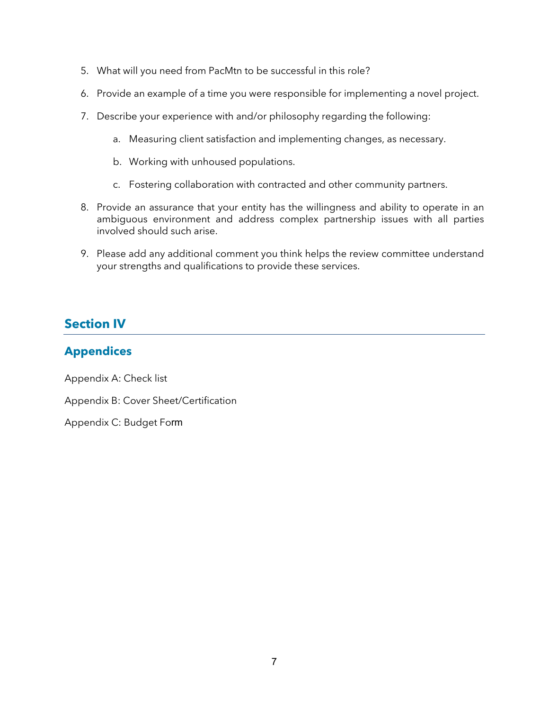- 5. What will you need from PacMtn to be successful in this role?
- 6. Provide an example of a time you were responsible for implementing a novel project.
- 7. Describe your experience with and/or philosophy regarding the following:
	- a. Measuring client satisfaction and implementing changes, as necessary.
	- b. Working with unhoused populations.
	- c. Fostering collaboration with contracted and other community partners.
- 8. Provide an assurance that your entity has the willingness and ability to operate in an ambiguous environment and address complex partnership issues with all parties involved should such arise.
- 9. Please add any additional comment you think helps the review committee understand your strengths and qualifications to provide these services.

# <span id="page-8-0"></span>**Section IV**

#### <span id="page-8-1"></span>**Appendices**

Appendix A: Check list

Appendix B: Cover Sheet/Certification

Appendix C: Budget Form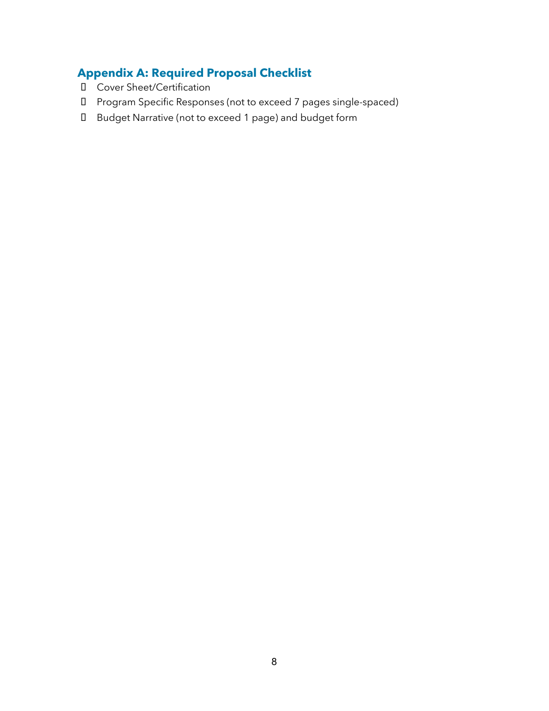# <span id="page-9-0"></span>**Appendix A: Required Proposal Checklist**

- Cover Sheet/Certification
- Program Specific Responses (not to exceed 7 pages single-spaced)
- Budget Narrative (not to exceed 1 page) and budget form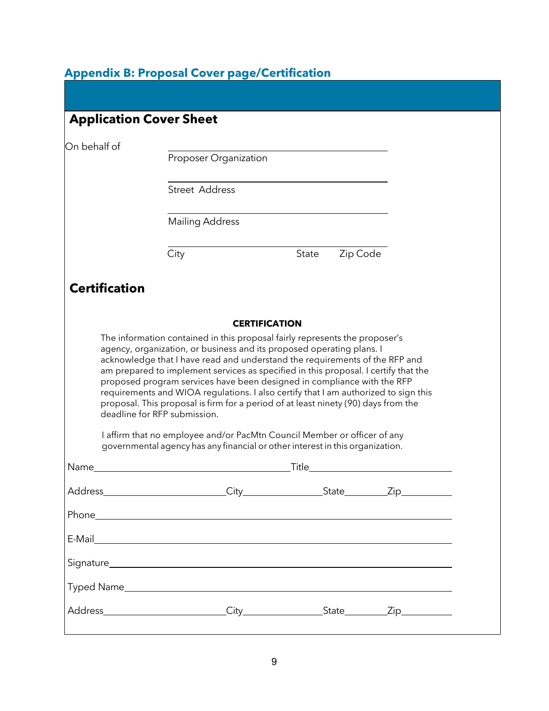# <span id="page-10-0"></span>**Appendix B: Proposal Cover page/Certification**

|                      | Proposer Organization                                                                                                                                                                                                                                                                                                                                                                                                      |                      |          |  |
|----------------------|----------------------------------------------------------------------------------------------------------------------------------------------------------------------------------------------------------------------------------------------------------------------------------------------------------------------------------------------------------------------------------------------------------------------------|----------------------|----------|--|
|                      | <b>Street Address</b>                                                                                                                                                                                                                                                                                                                                                                                                      |                      |          |  |
|                      | <b>Mailing Address</b>                                                                                                                                                                                                                                                                                                                                                                                                     |                      |          |  |
|                      | City                                                                                                                                                                                                                                                                                                                                                                                                                       | State                | Zip Code |  |
| <b>Certification</b> |                                                                                                                                                                                                                                                                                                                                                                                                                            |                      |          |  |
|                      |                                                                                                                                                                                                                                                                                                                                                                                                                            | <b>CERTIFICATION</b> |          |  |
|                      | acknowledge that I have read and understand the requirements of the RFP and<br>am prepared to implement services as specified in this proposal. I certify that the<br>proposed program services have been designed in compliance with the RFP<br>requirements and WIOA regulations. I also certify that I am authorized to sign this<br>proposal. This proposal is firm for a period of at least ninety (90) days from the |                      |          |  |
|                      | deadline for RFP submission.<br>I affirm that no employee and/or PacMtn Council Member or officer of any                                                                                                                                                                                                                                                                                                                   |                      |          |  |
|                      | governmental agency has any financial or other interest in this organization.                                                                                                                                                                                                                                                                                                                                              |                      |          |  |
|                      |                                                                                                                                                                                                                                                                                                                                                                                                                            | _Title_              |          |  |
|                      |                                                                                                                                                                                                                                                                                                                                                                                                                            |                      |          |  |
|                      |                                                                                                                                                                                                                                                                                                                                                                                                                            |                      |          |  |
|                      |                                                                                                                                                                                                                                                                                                                                                                                                                            |                      |          |  |
| Name_                |                                                                                                                                                                                                                                                                                                                                                                                                                            |                      |          |  |